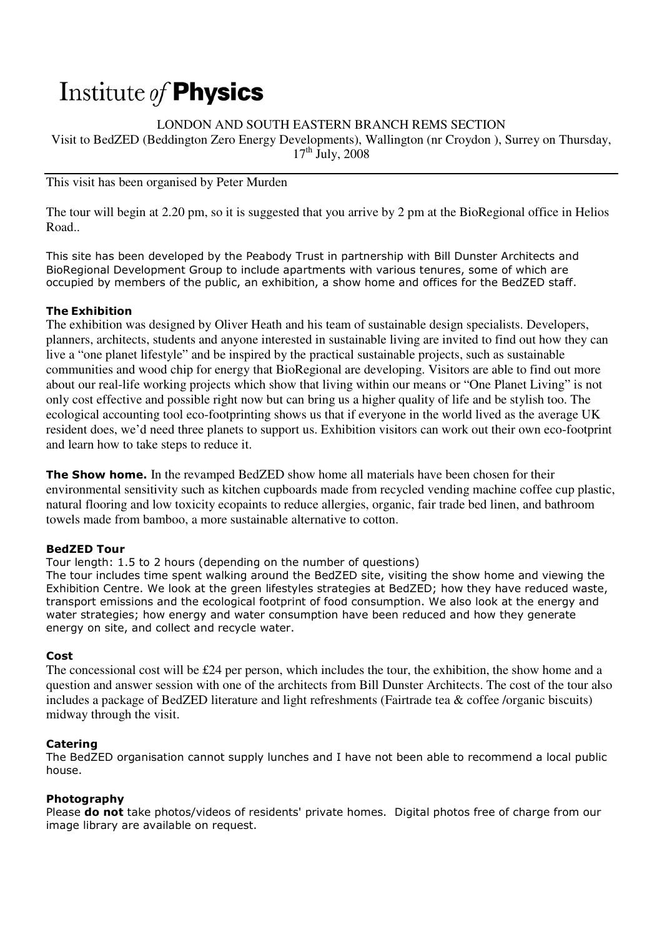# Institute of **Physics**

LONDON AND SOUTH EASTERN BRANCH REMS SECTION Visit to BedZED (Beddington Zero Energy Developments), Wallington (nr Croydon ), Surrey on Thursday,  $17<sup>th</sup>$  July, 2008

This visit has been organised by Peter Murden

The tour will begin at 2.20 pm, so it is suggested that you arrive by 2 pm at the BioRegional office in Helios Road..

This site has been developed by the Peabody Trust in partnership with Bill Dunster Architects and BioRegional Development Group to include apartments with various tenures, some of which are occupied by members of the public, an exhibition, a show home and offices for the BedZED staff.

# The Exhibition

The exhibition was designed by Oliver Heath and his team of sustainable design specialists. Developers, planners, architects, students and anyone interested in sustainable living are invited to find out how they can live a "one planet lifestyle" and be inspired by the practical sustainable projects, such as sustainable communities and wood chip for energy that BioRegional are developing. Visitors are able to find out more about our real-life working projects which show that living within our means or "One Planet Living" is not only cost effective and possible right now but can bring us a higher quality of life and be stylish too. The ecological accounting tool eco-footprinting shows us that if everyone in the world lived as the average UK resident does, we'd need three planets to support us. Exhibition visitors can work out their own eco-footprint and learn how to take steps to reduce it.

**The Show home.** In the revamped BedZED show home all materials have been chosen for their environmental sensitivity such as kitchen cupboards made from recycled vending machine coffee cup plastic, natural flooring and low toxicity ecopaints to reduce allergies, organic, fair trade bed linen, and bathroom towels made from bamboo, a more sustainable alternative to cotton.

# BedZED Tour

Tour length: 1.5 to 2 hours (depending on the number of questions)

The tour includes time spent walking around the BedZED site, visiting the show home and viewing the Exhibition Centre. We look at the green lifestyles strategies at BedZED; how they have reduced waste, transport emissions and the ecological footprint of food consumption. We also look at the energy and water strategies; how energy and water consumption have been reduced and how they generate energy on site, and collect and recycle water.

#### Cost

The concessional cost will be £24 per person, which includes the tour, the exhibition, the show home and a question and answer session with one of the architects from Bill Dunster Architects. The cost of the tour also includes a package of BedZED literature and light refreshments (Fairtrade tea & coffee /organic biscuits) midway through the visit.

# Catering

The BedZED organisation cannot supply lunches and I have not been able to recommend a local public house.

#### Photography

Please **do not** take photos/videos of residents' private homes. Digital photos free of charge from our image library are available on request.